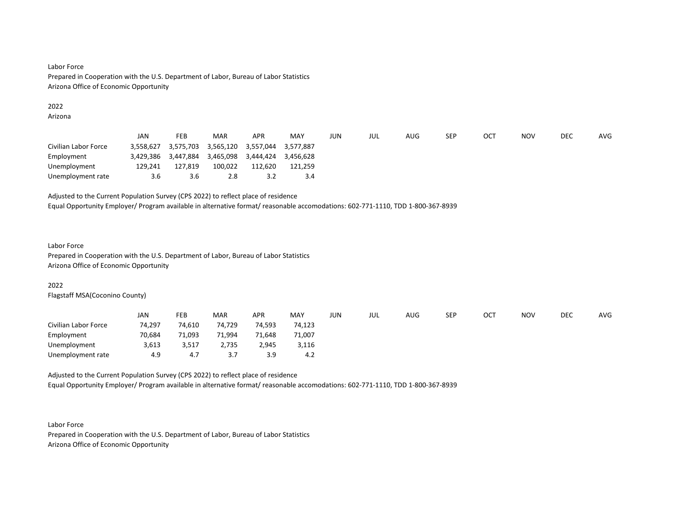# Labor Force Prepared in Cooperation with the U.S. Department of Labor, Bureau of Labor Statistics Arizona Office of Economic Opportunity

#### 2022

Arizona

|                      | JAN       | <b>FEB</b> | <b>MAR</b> | <b>APR</b> | MAY       | JUN | JUL | AUG | <b>SEP</b> | OC1 | <b>NOV</b> | DEC | <b>AVG</b> |
|----------------------|-----------|------------|------------|------------|-----------|-----|-----|-----|------------|-----|------------|-----|------------|
| Civilian Labor Force | 3.558.627 | 3,575,703  | 3,565,120  | 3,557,044  | 3,577,887 |     |     |     |            |     |            |     |            |
| Employment           | 3,429,386 | 3,447,884  | 3,465,098  | 3,444,424  | 3.456.628 |     |     |     |            |     |            |     |            |
| Unemployment         | 129,241   | 127,819    | 100,022    | 112,620    | 121.259   |     |     |     |            |     |            |     |            |
| Unemployment rate    | 3.6       | 3.6        | 2.8        | 3.2        | 3.4       |     |     |     |            |     |            |     |            |

Adjusted to the Current Population Survey (CPS 2022) to reflect place of residence

Equal Opportunity Employer/ Program available in alternative format/ reasonable accomodations: 602-771-1110, TDD 1-800-367-8939

# Labor Force

Prepared in Cooperation with the U.S. Department of Labor, Bureau of Labor Statistics Arizona Office of Economic Opportunity

# 2022

Flagstaff MSA(Coconino County)

|                      | JAN    | FEB    | <b>MAR</b> | <b>APR</b> | MAY    | JUN | JUL | AUG | <b>SEP</b> | ост | <b>NOV</b> | <b>DEC</b> | AVG |
|----------------------|--------|--------|------------|------------|--------|-----|-----|-----|------------|-----|------------|------------|-----|
| Civilian Labor Force | 74,297 | 74,610 | 74,729     | 74,593     | 74,123 |     |     |     |            |     |            |            |     |
| Employment           | 70,684 | 71,093 | 71,994     | 71,648     | 71,007 |     |     |     |            |     |            |            |     |
| Unemployment         | 3,613  | 3,517  | 2,735      | 2,945      | 3,116  |     |     |     |            |     |            |            |     |
| Unemployment rate    | 4.9    | 4.7    | 27<br>,    | 3.9        | 4.2    |     |     |     |            |     |            |            |     |

Adjusted to the Current Population Survey (CPS 2022) to reflect place of residence Equal Opportunity Employer/ Program available in alternative format/ reasonable accomodations: 602-771-1110, TDD 1-800-367-8939

Labor Force Prepared in Cooperation with the U.S. Department of Labor, Bureau of Labor Statistics Arizona Office of Economic Opportunity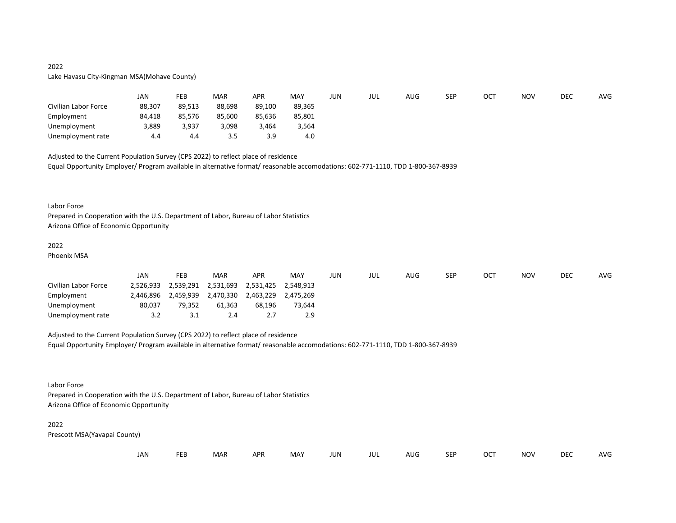# 2022 Lake Havasu City-Kingman MSA(Mohave County)

|                      | JAN    | <b>FEB</b> | <b>MAR</b> | <b>APR</b> | MAY    | JUN | jul | AUG | <b>SEP</b> | ост | <b>NOV</b> | <b>DEC</b> | <b>AVG</b> |
|----------------------|--------|------------|------------|------------|--------|-----|-----|-----|------------|-----|------------|------------|------------|
| Civilian Labor Force | 88,307 | 89.513     | 88.698     | 89,100     | 89.365 |     |     |     |            |     |            |            |            |
| Employment           | 84,418 | 85,576     | 85,600     | 85,636     | 85,801 |     |     |     |            |     |            |            |            |
| Unemployment         | 3,889  | 3,937      | 3,098      | 3,464      | 3,564  |     |     |     |            |     |            |            |            |
| Unemployment rate    | 4.4    | 4.4        | 3.5        | 3.9        | 4.0    |     |     |     |            |     |            |            |            |

Adjusted to the Current Population Survey (CPS 2022) to reflect place of residence Equal Opportunity Employer/ Program available in alternative format/ reasonable accomodations: 602-771-1110, TDD 1-800-367-8939

#### Labor Force

Prepared in Cooperation with the U.S. Department of Labor, Bureau of Labor Statistics Arizona Office of Economic Opportunity

## 2022

Phoenix MSA

|                      | JAN       | FEB       | <b>MAR</b> | APR       | MAY       | JUN | JUL | <b>AUG</b> | <b>SEP</b> | OC1 | NOV | <b>DEC</b> | <b>AVG</b> |
|----------------------|-----------|-----------|------------|-----------|-----------|-----|-----|------------|------------|-----|-----|------------|------------|
| Civilian Labor Force | 2.526.933 | 2,539,291 | 2,531,693  | 2,531,425 | 2.548.913 |     |     |            |            |     |     |            |            |
| Employment           | 2.446.896 | 2,459,939 | 2,470,330  | 2,463,229 | 2.475.269 |     |     |            |            |     |     |            |            |
| Unemployment         | 80,037    | 79,352    | 61.363     | 68,196    | 73.644    |     |     |            |            |     |     |            |            |
| Unemployment rate    | 3.2       | 3.1       | 2.4        | 2.7       | 2.9       |     |     |            |            |     |     |            |            |

Adjusted to the Current Population Survey (CPS 2022) to reflect place of residence Equal Opportunity Employer/ Program available in alternative format/ reasonable accomodations: 602-771-1110, TDD 1-800-367-8939

Labor Force

Prepared in Cooperation with the U.S. Department of Labor, Bureau of Labor Statistics Arizona Office of Economic Opportunity

# 2022

Prescott MSA(Yavapai County)

| JAN<br><b>FEB</b><br><b>MAR</b><br>MAY<br>OCT<br><b>NOV</b><br><b>APR</b><br><b>JUN</b><br><b>SEP</b><br>AUG<br>JUL |  |  |  |  |  |  |  |  |  |  |  |  | <b>DEC</b> | <b>AVG</b> |
|---------------------------------------------------------------------------------------------------------------------|--|--|--|--|--|--|--|--|--|--|--|--|------------|------------|
|---------------------------------------------------------------------------------------------------------------------|--|--|--|--|--|--|--|--|--|--|--|--|------------|------------|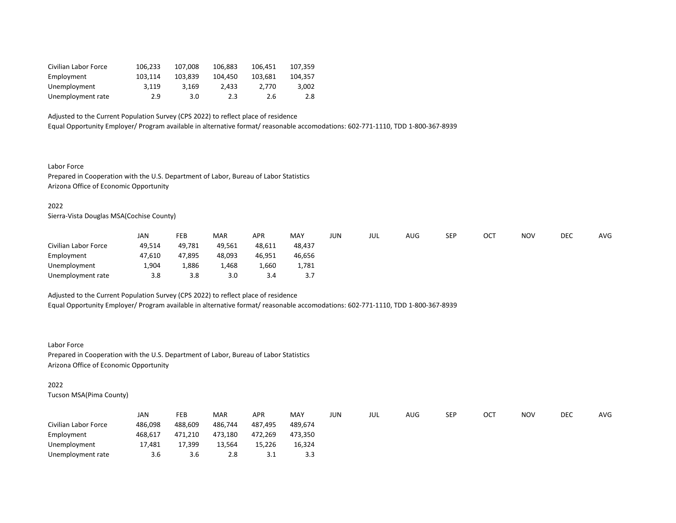| Civilian Labor Force | 106.233 | 107.008 | 106.883 | 106.451 | 107.359 |
|----------------------|---------|---------|---------|---------|---------|
| Employment           | 103.114 | 103.839 | 104.450 | 103.681 | 104.357 |
| Unemployment         | 3.119   | 3.169   | 2.433   | 2.770   | 3.002   |
| Unemployment rate    | 2.9     | 3.0     | 2.3     | 2.6     | 2.8     |

Equal Opportunity Employer/ Program available in alternative format/ reasonable accomodations: 602-771-1110, TDD 1-800-367-8939

Labor Force Prepared in Cooperation with the U.S. Department of Labor, Bureau of Labor Statistics Arizona Office of Economic Opportunity

# 2022

Sierra-Vista Douglas MSA(Cochise County)

|                      | JAN    | FEB    | <b>MAR</b> | APR    | <b>MAY</b> | JUN | JUL | AUG | <b>SEP</b> | OCT | <b>NOV</b> | <b>DEC</b> | <b>AVG</b> |
|----------------------|--------|--------|------------|--------|------------|-----|-----|-----|------------|-----|------------|------------|------------|
| Civilian Labor Force | 49,514 | 49.781 | 49,561     | 48,611 | 48.437     |     |     |     |            |     |            |            |            |
| Employment           | 47.610 | 47.895 | 48,093     | 46,951 | 46.656     |     |     |     |            |     |            |            |            |
| Unemployment         | 1,904  | 1,886  | 1,468      | 1.660  | 1,781      |     |     |     |            |     |            |            |            |
| Unemployment rate    | 3.8    | 3.8    | 3.0        | 3.4    | 3.7        |     |     |     |            |     |            |            |            |

Adjusted to the Current Population Survey (CPS 2022) to reflect place of residence Equal Opportunity Employer/ Program available in alternative format/ reasonable accomodations: 602-771-1110, TDD 1-800-367-8939

#### Labor Force

Prepared in Cooperation with the U.S. Department of Labor, Bureau of Labor Statistics Arizona Office of Economic Opportunity

#### 2022

Tucson MSA(Pima County)

|                      | JAN     | FEB     | <b>MAR</b> | <b>APR</b> | MAY     | JUN | JUL | AUG | SEP | OC. | <b>NOV</b> | DEC | <b>AVG</b> |
|----------------------|---------|---------|------------|------------|---------|-----|-----|-----|-----|-----|------------|-----|------------|
| Civilian Labor Force | 486,098 | 488,609 | 486,744    | 487,495    | 489.674 |     |     |     |     |     |            |     |            |
| Employment           | 468,617 | 471,210 | 473,180    | 472,269    | 473.350 |     |     |     |     |     |            |     |            |
| Unemployment         | 17,481  | 17,399  | 13,564     | 15,226     | 16,324  |     |     |     |     |     |            |     |            |
| Unemployment rate    | 3.6     | 3.6     | 2.8        | ⊥. ت       |         |     |     |     |     |     |            |     |            |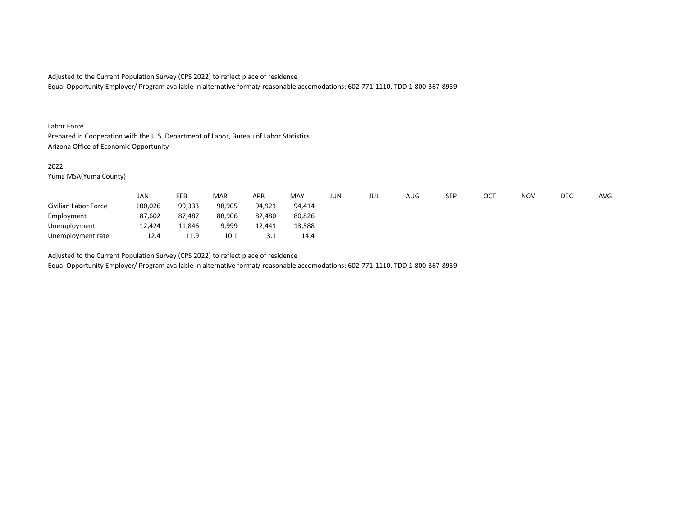Equal Opportunity Employer/ Program available in alternative format/ reasonable accomodations: 602-771-1110, TDD 1-800-367-8939

#### Labor Force

Prepared in Cooperation with the U.S. Department of Labor, Bureau of Labor Statistics Arizona Office of Economic Opportunity

# 2022

Yuma MSA(Yuma County)

|                      | JAN     | FEB    | <b>MAR</b> | APR    | MAY    | JUN | jul | <b>AUG</b> | SEP | OCT | <b>NOV</b> | DEC | AVG |
|----------------------|---------|--------|------------|--------|--------|-----|-----|------------|-----|-----|------------|-----|-----|
| Civilian Labor Force | 100,026 | 99,333 | 98,905     | 94,921 | 94.414 |     |     |            |     |     |            |     |     |
| Employment           | 87.602  | 87.487 | 88.906     | 82,480 | 80.826 |     |     |            |     |     |            |     |     |
| Unemployment         | 12,424  | 11.846 | 9.999      | 12.441 | 13.588 |     |     |            |     |     |            |     |     |
| Unemployment rate    | 12.4    | 11.9   | 10.1       | 13.1   | 14.4   |     |     |            |     |     |            |     |     |

Adjusted to the Current Population Survey (CPS 2022) to reflect place of residence

Equal Opportunity Employer/ Program available in alternative format/ reasonable accomodations: 602-771-1110, TDD 1-800-367-8939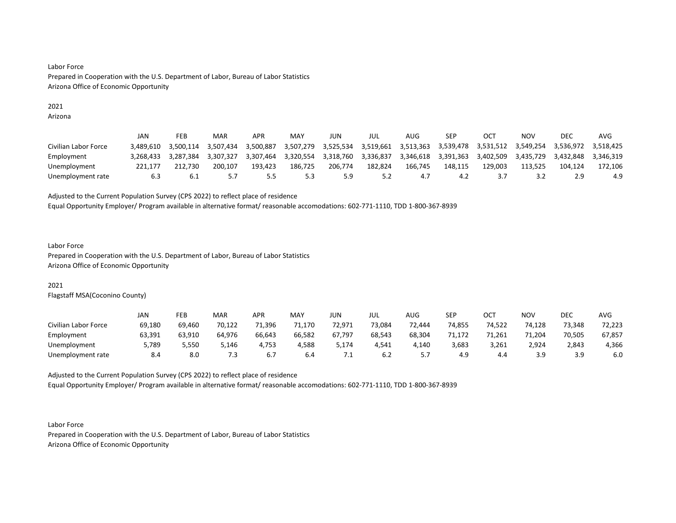# Labor Force Prepared in Cooperation with the U.S. Department of Labor, Bureau of Labor Statistics Arizona Office of Economic Opportunity

#### 2021

Arizona

|                      | JAN       | FEB       | MAR       | APR       | MAY       | JUN       | JUL       | AUG       | SEP       | OCT       | NOV       | DEC       | AVG       |
|----------------------|-----------|-----------|-----------|-----------|-----------|-----------|-----------|-----------|-----------|-----------|-----------|-----------|-----------|
| Civilian Labor Force | 3.489.610 | 3.500.114 | 3.507.434 | 3.500.887 | 3.507.279 | 3.525.534 | 3,519,661 | 3,513,363 | 3.539.478 | 3.531.512 | 3.549.254 | 3.536.972 | 3.518.425 |
| Employment           | 3.268.433 | 3.287.384 | 3.307.327 | 3.307.464 | 3.320.554 | 3.318.760 | 3.336.837 | 3.346.618 | 3.391.363 | 3.402.509 | 3.435.729 | 3.432.848 | 3.346.319 |
| Unemployment         | 221.177   | 212.730   | 200.107   | 193.423   | 186.725   | 206.774   | 182.824   | 166.745   | 148.115   | 129.003   | 113.525   | 104.124   | 172.106   |
| Unemployment rate    | 6.3       | 6.1       |           | כ.כ       | 5.3       | 5.9       | 5.2       | 4.7       | 4.2       |           | 3.2       | 2.9       | 4.9       |

Adjusted to the Current Population Survey (CPS 2022) to reflect place of residence

Equal Opportunity Employer/ Program available in alternative format/ reasonable accomodations: 602-771-1110, TDD 1-800-367-8939

# Labor Force Prepared in Cooperation with the U.S. Department of Labor, Bureau of Labor Statistics Arizona Office of Economic Opportunity

# 2021

Flagstaff MSA(Coconino County)

|                      | JAN    | FEB    | MAR    | <b>APR</b> | MAY         | JUN    | JUL    | <b>AUG</b> | <b>SEP</b> | OCT.<br>◡◡ | <b>NOV</b> | DEC    | <b>AVG</b> |
|----------------------|--------|--------|--------|------------|-------------|--------|--------|------------|------------|------------|------------|--------|------------|
| Civilian Labor Force | 69,180 | 69,460 | 70,122 | 71,396     | 71<br>1,170 | 72,971 | 73,084 | 72,444     | 74,855     | 74.522     | 74,128     | 73,348 | 72,223     |
| Employment           | 63,391 | 63.910 | 64.976 | 66.643     | 66.582      | 67.797 | 68.543 | 68.304     | 71.172     | 71.261     | 71.204     | 70.505 | 67,857     |
| Unemployment         | 5,789  | 5,550  | 5,146  | 4.753      | 4,588       | 174,د  | 4,541  | 4,140      | 3,683      | 3,261      | 2,924      | 2,843  | 4,366      |
| Unemployment rate    | 8.4    | 8.0    | 7.3    |            | 6.4         | ــ .   | 6.2    |            | 4.9        | 4.4        | 3.9        | 3 Q    | 6.0        |

Adjusted to the Current Population Survey (CPS 2022) to reflect place of residence

Equal Opportunity Employer/ Program available in alternative format/ reasonable accomodations: 602-771-1110, TDD 1-800-367-8939

Labor Force Prepared in Cooperation with the U.S. Department of Labor, Bureau of Labor Statistics Arizona Office of Economic Opportunity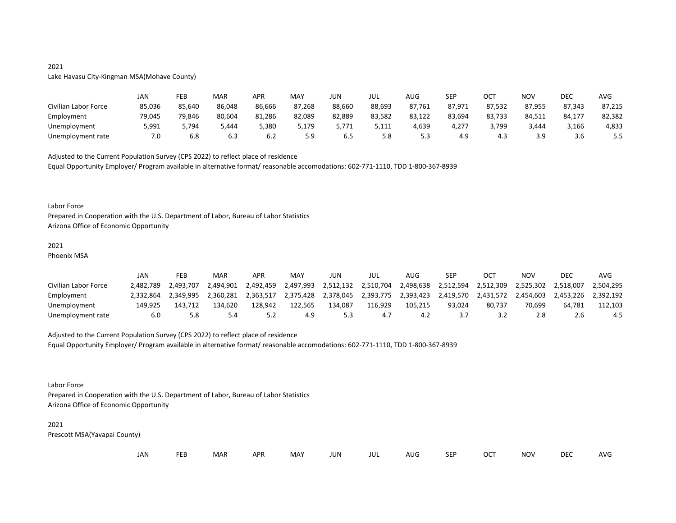# 2021

# Lake Havasu City-Kingman MSA(Mohave County)

|                      | JAN    | FEB    | MAR    | <b>APR</b> | MAY    | JUN    | jul    | AUG    | <b>SEP</b> | OC1    | <b>NOV</b> | DEC    | AVG    |
|----------------------|--------|--------|--------|------------|--------|--------|--------|--------|------------|--------|------------|--------|--------|
| Civilian Labor Force | 85,036 | 85.640 | 86.048 | 86,666     | 87,268 | 88,660 | 88,693 | 87,761 | 87,971     | 87,532 | 87,955     | 87.343 | 87,215 |
| Employment           | 79.045 | 79.846 | 80.604 | 81.286     | 82,089 | 82.889 | 83,582 | 83,122 | 83.694     | 83,733 | 84,511     | 84.177 | 82,382 |
| Unemployment         | 5,991  | 5,794  | 5,444  | 5,380      | 5,179  | 5,771  | 5,111  | 4,639  | 4,277      | 3,799  | 3,444      | 3,166  | 4,833  |
| Unemployment rate    | 7.0    | 6.8    | 6.3    | 6.2        | 5.9    | 6.5    | 5.8    | 5.3    | 4.9        | 4.3    | 3.9        | 3.6    | ر.ر    |

Adjusted to the Current Population Survey (CPS 2022) to reflect place of residence Equal Opportunity Employer/ Program available in alternative format/ reasonable accomodations: 602-771-1110, TDD 1-800-367-8939

## Labor Force

Prepared in Cooperation with the U.S. Department of Labor, Bureau of Labor Statistics Arizona Office of Economic Opportunity

## 2021

Phoenix MSA

|                      | JAN       | FEB       | MAR       | <b>APR</b> | MAY       | JUN       | jul       | AUG       | SEP       | OCT       | NOV       | DEC       | AVG       |
|----------------------|-----------|-----------|-----------|------------|-----------|-----------|-----------|-----------|-----------|-----------|-----------|-----------|-----------|
| Civilian Labor Force | 2.482.789 | 2.493.707 | 2.494.901 | 2.492.459  | 2,497,993 | 2,512,132 | 2,510,704 | 2,498,638 | 2.512.594 | 2.512.309 | 2,525,302 | 2.518.007 | 2.504.295 |
| Employment           | 2.332.864 | 2.349.995 | 2.360.281 | 2.363.517  | 2.375.428 | 2.378.045 | 2.393.775 | 2.393.423 | 2.419.570 | 2.431.572 | 2.454.603 | 2.453.226 | 2.392.192 |
| Unemployment         | 149.925   | 143.712   | 134.620   | 128.942    | 122.565   | 134.087   | 116.929   | 105.215   | 93.024    | 80.737    | 70.699    | 64.781    | 112.103   |
| Unemployment rate    | 6.0       | 5.8       |           | . <u>.</u> | 4.9       | 5.3       |           | -4.2      | 37        |           | 2.8       |           | 4.5       |

Adjusted to the Current Population Survey (CPS 2022) to reflect place of residence Equal Opportunity Employer/ Program available in alternative format/ reasonable accomodations: 602-771-1110, TDD 1-800-367-8939

Labor Force

Prepared in Cooperation with the U.S. Department of Labor, Bureau of Labor Statistics Arizona Office of Economic Opportunity

# 2021

Prescott MSA(Yavapai County)

| JAN<br><b>FEB</b><br><b>MAR</b><br>MAY<br>OCT<br><b>NOV</b><br><b>APR</b><br><b>JUN</b><br><b>SEP</b><br>AUG<br>JUL |  |  |  |  |  |  |  |  |  |  |  |  | <b>DEC</b> | <b>AVG</b> |
|---------------------------------------------------------------------------------------------------------------------|--|--|--|--|--|--|--|--|--|--|--|--|------------|------------|
|---------------------------------------------------------------------------------------------------------------------|--|--|--|--|--|--|--|--|--|--|--|--|------------|------------|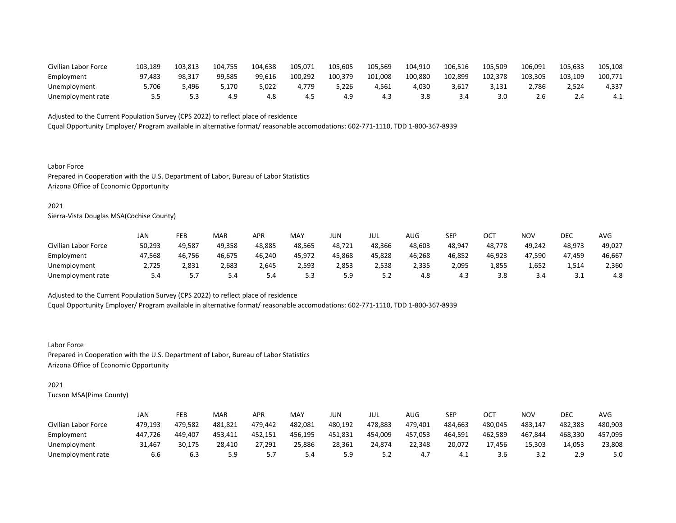| Civilian Labor Force | 103,189 | 103.813 | 104,755 | 104,638 | 105,071 | 105,605 | 105,569 | 104,910 | 106,516 | 105,509 | 106,091 | 105,633 | 105,108 |
|----------------------|---------|---------|---------|---------|---------|---------|---------|---------|---------|---------|---------|---------|---------|
| Employment           | 97.483  | 98.317  | 99.585  | 99.616  | 100.292 | 100.379 | 101.008 | 100.880 | 102.899 | 102.378 | 103.305 | 103.109 | 100,771 |
| Unemployment         | 5,706   | 5.496   | 5.170   | 5,022   | 4.779   | 5,226   | 4,561   | 4,030   | 3,617   |         | 2,786   | 2,524   | 4,337   |
| Unemployment rate    |         |         | 4.9     | 4.8     | 4.5     | 4.9     | 4.3     |         |         |         | 2.b     |         | 4.1     |

Equal Opportunity Employer/ Program available in alternative format/ reasonable accomodations: 602-771-1110, TDD 1-800-367-8939

Labor Force Prepared in Cooperation with the U.S. Department of Labor, Bureau of Labor Statistics Arizona Office of Economic Opportunity

# 2021

Sierra-Vista Douglas MSA(Cochise County)

|                      | JAN    | FEB    | MAR    | <b>APR</b> | MA۱    | JUN    | JUL    | AUG    | SEP    | ОСТ    | ΝΟν    | DEC    | AVG    |
|----------------------|--------|--------|--------|------------|--------|--------|--------|--------|--------|--------|--------|--------|--------|
| Civilian Labor Force | 50,293 | 49.587 | 49.358 | 48,885     | 48.565 | 48,721 | 48.366 | 48.603 | 48,947 | 48.778 | 49.242 | 48,973 | 49,027 |
| Employment           | 47.568 | 46.756 | 46.675 | 46.240     | 45,972 | 45.868 | 45.828 | 46.268 | 46,852 | 46.923 | 47,590 | 47.459 | 46,667 |
| Unemployment         | 2,725  | 2,831  | 2,683  | 2,645      | 2,593  | 2,853  | 2,538  | 2,335  | 2,095  | 1,855  | 1,652  | 1,514  | 2,360  |
| Unemployment rate    | 5.4    | .      | 5.4    | 5.4        | 5.3    | 5.9    | 5.2    | 4.8    | 4.3    | 3.8    | 3.4    | 3.1    | 4.8    |

Adjusted to the Current Population Survey (CPS 2022) to reflect place of residence Equal Opportunity Employer/ Program available in alternative format/ reasonable accomodations: 602-771-1110, TDD 1-800-367-8939

Labor Force Prepared in Cooperation with the U.S. Department of Labor, Bureau of Labor Statistics Arizona Office of Economic Opportunity

## 2021

Tucson MSA(Pima County)

|                      | JAN     | FEB     | MAR     | APR     | MAY     | JUN     | jul     | AUG     | SEP     | OCT     | <b>NOV</b> | DEC     | AVG     |
|----------------------|---------|---------|---------|---------|---------|---------|---------|---------|---------|---------|------------|---------|---------|
| Civilian Labor Force | 479.193 | 479.582 | 481.821 | 479.442 | 482.081 | 480.192 | 478.883 | 479.401 | 484.663 | 480.045 | 483.147    | 482.383 | 480,903 |
| Employment           | 447.726 | 449.407 | 453.411 | 452.151 | 456,195 | 451,831 | 454,009 | 457.053 | 464,591 | 462.589 | 467,844    | 468,330 | 457,095 |
| Unemployment         | 31.467  | 30.175  | 28.410  | 27.291  | 25.886  | 28.361  | 24.874  | 22.348  | 20.072  | 17.456  | 15.303     | 14.053  | 23,808  |
| Unemployment rate    | 6.6     | 6.3     | 5.9     | . . ب   | 5.4     | 5.9     | 5.2     | 4.7     | 4.1     | 3.6     | 3.2        |         | 5.0     |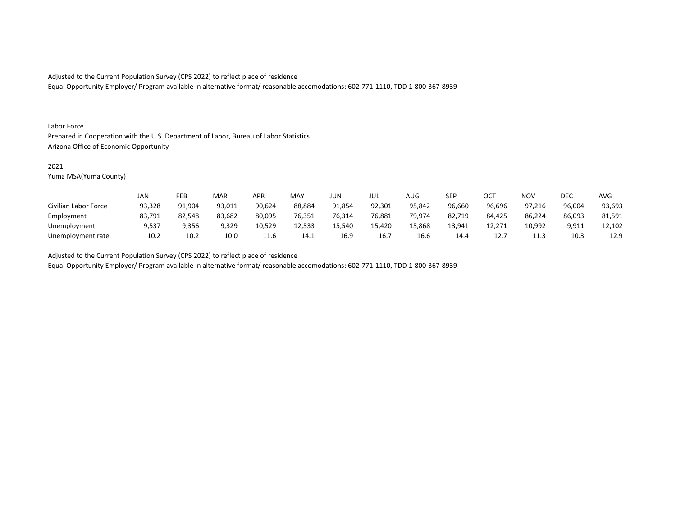Equal Opportunity Employer/ Program available in alternative format/ reasonable accomodations: 602-771-1110, TDD 1-800-367-8939

## Labor Force

Prepared in Cooperation with the U.S. Department of Labor, Bureau of Labor Statistics Arizona Office of Economic Opportunity

### 2021

Yuma MSA(Yuma County)

|                      | JAN    | FEB    | MAR    | APR    | MAY    | JUN    | JUL    | AUG    | <b>SEP</b> | ОСТ    | <b>NOV</b> | DEC    | <b>AVG</b> |
|----------------------|--------|--------|--------|--------|--------|--------|--------|--------|------------|--------|------------|--------|------------|
| Civilian Labor Force | 93.328 | 91.904 | 93.011 | 90.624 | 88.884 | 91.854 | 92.301 | 95.842 | 96.660     | 96.696 | 97.216     | 96.004 | 93,693     |
| Employment           | 83,791 | 82.548 | 83,682 | 80,095 | 76,351 | 76,314 | 76,881 | 79,974 | 82,719     | 84,425 | 86,224     | 86,093 | 81,591     |
| Unemployment         | 9,537  | 9,356  | 9,329  | 10,529 | 12,533 | 15,540 | 15,420 | 15.868 | 13,941     | 12,271 | 10,992     | 9,911  | 12.102     |
| Unemployment rate    | 10.2   | 10.2   | 10.0   | 11.6   | 14.1   | 16.9   | 16.7   | 16.6   | 14.4       | 12.7   | 11.3       | 10.3   | 12.9       |

Adjusted to the Current Population Survey (CPS 2022) to reflect place of residence

Equal Opportunity Employer/ Program available in alternative format/ reasonable accomodations: 602-771-1110, TDD 1-800-367-8939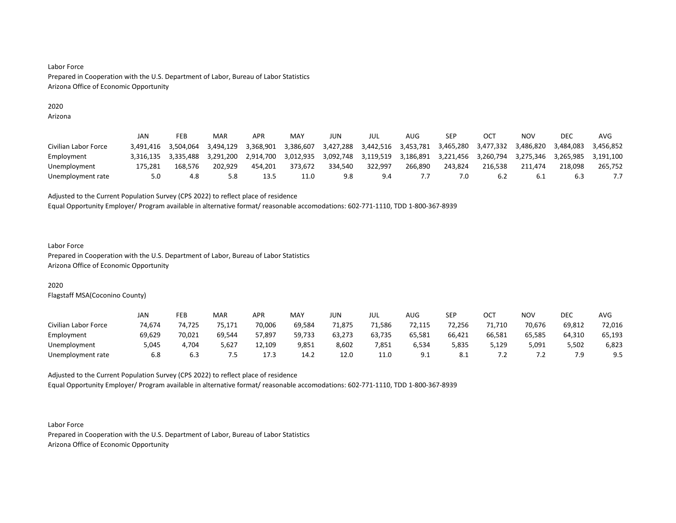# Labor Force Prepared in Cooperation with the U.S. Department of Labor, Bureau of Labor Statistics Arizona Office of Economic Opportunity

## 2020

Arizona

|                      | JAN       | FEB       | MAR       | <b>APR</b> | MAY       | JUN       | JUL       | AUG       | SEP       | OC.       | <b>NOV</b> | DEC       | AVG       |
|----------------------|-----------|-----------|-----------|------------|-----------|-----------|-----------|-----------|-----------|-----------|------------|-----------|-----------|
| Civilian Labor Force | 3.491.416 | 3.504.064 | 3.494.129 | 3.368.901  | 3.386.607 | 3,427,288 | 3.442.516 | 3.453.781 | 3.465.280 | 3,477,332 | 3.486.820  | 3.484.083 | 3.456.852 |
| Employment           | 3.316.135 | 3.335.488 | 3.291.200 | 2.914.700  | 3.012.935 | 3.092.748 | 3.119.519 | 3.186.891 | 3.221.456 | 3.260.794 | 3.275.346  | 3.265.985 | 3.191.100 |
| Unemployment         | 175.281   | 168.576   | 202.929   | 454.201    | 373.672   | 334.540   | 322.997   | 266.890   | 243.824   | 216.538   | 211.474    | 218.098   | 265.752   |
| Unemployment rate    | 5.0       | 4.8       | 5.8       | 13.5       | 11.0      | 9.8       | 9.4       |           | 7.0       | 6.2       | -6.1       | 6.3       |           |

Adjusted to the Current Population Survey (CPS 2022) to reflect place of residence

Equal Opportunity Employer/ Program available in alternative format/ reasonable accomodations: 602-771-1110, TDD 1-800-367-8939

# Labor Force

Prepared in Cooperation with the U.S. Department of Labor, Bureau of Labor Statistics Arizona Office of Economic Opportunity

# 2020

Flagstaff MSA(Coconino County)

|                      | JAN    | FEB    | MAR    | <b>APR</b> | MAY    | JUN    | JUL    | AUG    | <b>SEP</b> | $\sim$ $\sim$<br>ו טט | NOV        | DEC    | <b>AVG</b> |
|----------------------|--------|--------|--------|------------|--------|--------|--------|--------|------------|-----------------------|------------|--------|------------|
| Civilian Labor Force | 74,674 | 74,725 | 75.171 | 70,006     | 69,584 | 71,875 | 71,586 | 72,115 | 72.256     | 71,710                | 70.676     | 69,812 | 72,016     |
| Employment           | 69,629 | 70,021 | 69.544 | 57,897     | 59.733 | 63.273 | 63.735 | 65.581 | 66,421     | 66.581                | 65.585     | 64.310 | 65,193     |
| Unemployment         | 5,045  | 1.704  | 5,627  | 12,109     | 9,851  | 8,602  | 7,851  | 6,534  | 5,835      | 129,د                 | 5,091      | 5,502  | 6,823      |
| Unemployment rate    | 6.8    | 6.3    | .      | 17.3       | 14.2   | 12.C   | 11.0   | 9.1    | -8.1       | . <u>. .</u>          | $\cdot$ .2 | 7.9    | 9.5        |

Adjusted to the Current Population Survey (CPS 2022) to reflect place of residence

Equal Opportunity Employer/ Program available in alternative format/ reasonable accomodations: 602-771-1110, TDD 1-800-367-8939

Labor Force Prepared in Cooperation with the U.S. Department of Labor, Bureau of Labor Statistics Arizona Office of Economic Opportunity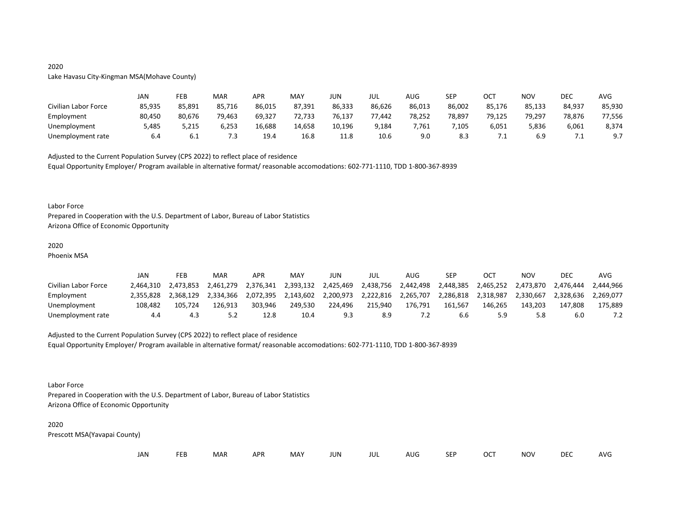# 2020

# Lake Havasu City-Kingman MSA(Mohave County)

|                      | JAN    | FEB    | MAR    | APR    | MAY    | JUN    | JUL    | AUG    | SEP    | ост    | NOV    | <b>DEC</b> | AVG    |
|----------------------|--------|--------|--------|--------|--------|--------|--------|--------|--------|--------|--------|------------|--------|
| Civilian Labor Force | 85,935 | 85,891 | 85,716 | 86,015 | 87,391 | 86,333 | 86,626 | 86,013 | 86,002 | 85,176 | 85,133 | 84,937     | 85,930 |
| Employment           | 80,450 | 80.676 | 79,463 | 69,327 | 72,733 | 76,137 | 77,442 | 78,252 | 78,897 | 79,125 | 79,297 | 78,876     | 77,556 |
| Unemployment         | 5,485  | 5,215  | 6,253  | 16,688 | 14,658 | 10,196 | 9,184  | 7,761  | 105,'  | 6,051  | 5,836  | 6,061      | 8,374  |
| Unemployment rate    | 6.4    | b.l    | 7.3    | 19.4   | 16.8   | 11.8   | 10.6   | 9.0    | 8.3    | ـ .    | 6.9    | ـــ        | 9.7    |

Adjusted to the Current Population Survey (CPS 2022) to reflect place of residence Equal Opportunity Employer/ Program available in alternative format/ reasonable accomodations: 602-771-1110, TDD 1-800-367-8939

#### Labor Force

Prepared in Cooperation with the U.S. Department of Labor, Bureau of Labor Statistics Arizona Office of Economic Opportunity

## 2020

Phoenix MSA

|                      | JAN       | FEB       | MAR       | <b>APR</b> | MAY       | JUN       | jul       | AUG       | SEP       |           | NOV       | DEC       | AVG       |
|----------------------|-----------|-----------|-----------|------------|-----------|-----------|-----------|-----------|-----------|-----------|-----------|-----------|-----------|
| Civilian Labor Force | 2.464.310 | 2.473.853 | 2.461.279 | 2.376.341  | 2.393.132 | 2.425.469 | 2,438,756 | 2.442.498 | 2.448.385 | 2.465.252 | 2.473.870 | 2.476.444 | 2.444.966 |
| Employment           | 2.355.828 | 2.368.129 | 2.334.366 | 2.072.395  | 2.143.602 | 2.200.973 | 2.222.816 | 2.265.707 | 2.286.818 | 2.318.987 | 2.330.667 | 2.328.636 | 2.269.077 |
| Unemployment         | 108.482   | 105.724   | 126.913   | 303.946    | 249.530   | 224.496   | 215.940   | 176.791   | 161.567   | 146.265   | 143.203   | 147.808   | 175.889   |
| Unemployment rate    | 4.4       |           | 5.2       | 12.8       | 10.4      | 9.3       | 8.9       | ٠Z.       | 6.6       | 5.9       | 5.8       | 6.0       |           |

Adjusted to the Current Population Survey (CPS 2022) to reflect place of residence Equal Opportunity Employer/ Program available in alternative format/ reasonable accomodations: 602-771-1110, TDD 1-800-367-8939

Labor Force

Prepared in Cooperation with the U.S. Department of Labor, Bureau of Labor Statistics Arizona Office of Economic Opportunity

# 2020

Prescott MSA(Yavapai County)

|  | JAN | EER | <b>MAR</b> | <b>APR</b> | MAY | JUN | jul | AUG | <b>SEP</b> | OCT | <b>NOV</b> | <b>DEC</b> | AVG |
|--|-----|-----|------------|------------|-----|-----|-----|-----|------------|-----|------------|------------|-----|
|--|-----|-----|------------|------------|-----|-----|-----|-----|------------|-----|------------|------------|-----|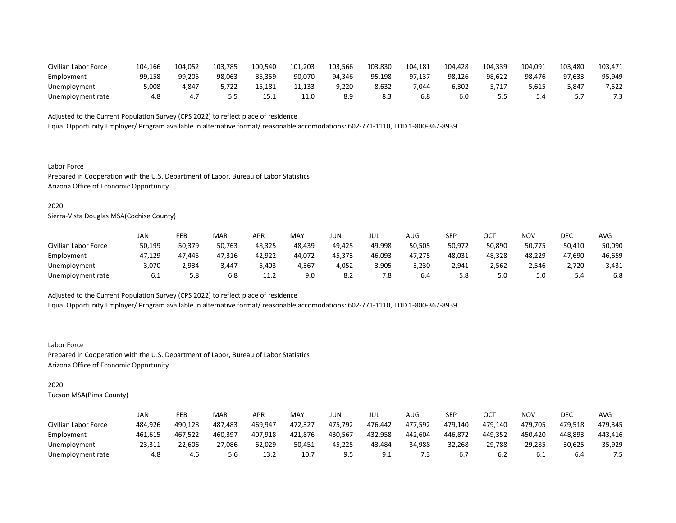| Civilian Labor Force | 104.166 | 104.052 | 103,785 | 100,540 | 101,203 | 103,566 | 103,830 | 104,181 | 104,428 | 104,339 | 104,091 | 103,480 | 103,471 |
|----------------------|---------|---------|---------|---------|---------|---------|---------|---------|---------|---------|---------|---------|---------|
| Employment           | 99.158  | 99.205  | 98.063  | 85.359  | 90.070  | 94.346  | 95.198  | 97.137  | 98.126  | 98.622  | 98.476  | 97.633  | 95,949  |
| Unemployment         | 5,008   | 4.847   | 5,722   | 15.181  | 11,133  | 9,220   | 8,632   | 044.'   | 6,302   | 5.717   | 5,615   | 5,841   | 7,522   |
| Unemployment rate    | 4.8     | 4.,     | 5.5     | 15.1    | 11.0    | 8.9     | 8.3     |         | 6.0     |         |         |         |         |

Equal Opportunity Employer/ Program available in alternative format/ reasonable accomodations: 602-771-1110, TDD 1-800-367-8939

Labor Force Prepared in Cooperation with the U.S. Department of Labor, Bureau of Labor Statistics Arizona Office of Economic Opportunity

# 2020

Sierra-Vista Douglas MSA(Cochise County)

|                      | JAN    | FEB    | MAR    | APR    | MAY    | jun    | JUL    | AUG    | SEP    | ОСТ    | ΝΟν    | DEC    | AVG    |
|----------------------|--------|--------|--------|--------|--------|--------|--------|--------|--------|--------|--------|--------|--------|
| Civilian Labor Force | 50,199 | 50,379 | 50,763 | 48,325 | 48,439 | 49.425 | 49.998 | 50,505 | 50,972 | 50,890 | 50,775 | 50,410 | 50,090 |
| Employment           | 47.129 | 47.445 | 47.316 | 42,922 | 44.072 | 45.373 | 46,093 | 47.275 | 48,031 | 48.328 | 48.229 | 47.690 | 46,659 |
| Unemployment         | 3,070  | 2,934  | 3,447  | 5,403  | 4,367  | 4,052  | 3,905  | 3,230  | 2,941  | 2,562  | 2,546  | 2,720  | 3,431  |
| Unemployment rate    | 6.1    | 5.8    | 6.8    | 11.2   | 9.0    | 8.2    | 7.8    | 6.4    | 5.8    | 5.0    | 5.0    | 5.4    | 6.8    |

Adjusted to the Current Population Survey (CPS 2022) to reflect place of residence Equal Opportunity Employer/ Program available in alternative format/ reasonable accomodations: 602-771-1110, TDD 1-800-367-8939

Labor Force Prepared in Cooperation with the U.S. Department of Labor, Bureau of Labor Statistics Arizona Office of Economic Opportunity

#### 2020

Tucson MSA(Pima County)

|                      | JAN     | FEB     | MAR     | <b>APR</b> | MAY     | JUN     | JUL     | <b>AUG</b> | SEP     | OC1     | <b>NOV</b> | DEC     | AVG     |
|----------------------|---------|---------|---------|------------|---------|---------|---------|------------|---------|---------|------------|---------|---------|
| Civilian Labor Force | 484.926 | 490.128 | 487.483 | 469.947    | 472.327 | 475.792 | 476.442 | 477.592    | 479.140 | 479.140 | 479.705    | 479.518 | 479.345 |
| Employment           | 461,615 | 467.522 | 460.397 | 407,918    | 421,876 | 430,567 | 432,958 | 442.604    | 446.872 | 449.352 | 450,420    | 448.893 | 443.416 |
| Unemployment         | 23.311  | 22.606  | 27.086  | 62.029     | 50,451  | 45.225  | 43.484  | 34.988     | 32.268  | 29.788  | 29.285     | 30.625  | 35,929  |
| Unemployment rate    | 4.8     | 4.6     | 5.6     | 13.2       | 10.7    | 9.5     | 9.1     | د.'        | 6.7     | 6.2     | 6.1        | 6.4     |         |